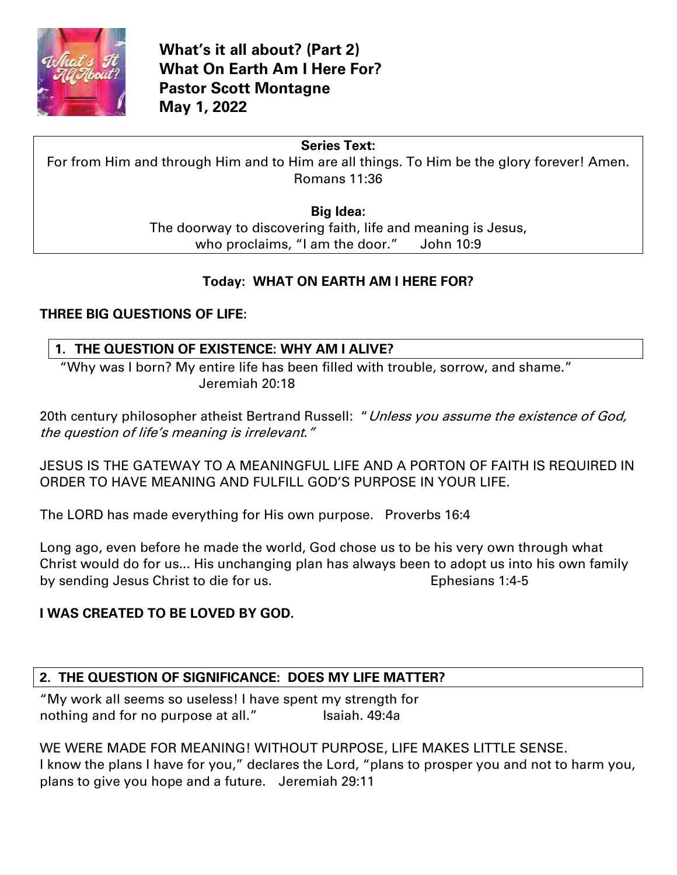

# **Series Text:**

For from Him and through Him and to Him are all things. To Him be the glory forever! Amen. Romans 11:36

### **Big Idea:**

The doorway to discovering faith, life and meaning is Jesus, who proclaims, "I am the door." John 10:9

# **Today: WHAT ON EARTH AM I HERE FOR?**

### **THREE BIG QUESTIONS OF LIFE:**

### **1. THE QUESTION OF EXISTENCE: WHY AM I ALIVE?**

"Why was I born? My entire life has been filled with trouble, sorrow, and shame." Jeremiah 20:18

20th century philosopher atheist Bertrand Russell: "Unless you assume the existence of God, the question of life's meaning is irrelevant."

JESUS IS THE GATEWAY TO A MEANINGFUL LIFE AND A PORTON OF FAITH IS REQUIRED IN ORDER TO HAVE MEANING AND FULFILL GOD'S PURPOSE IN YOUR LIFE.

The LORD has made everything for His own purpose. Proverbs 16:4

Long ago, even before he made the world, God chose us to be his very own through what Christ would do for us... His unchanging plan has always been to adopt us into his own family by sending Jesus Christ to die for us. The sensitive Sephesians 1:4-5

### **I WAS CREATED TO BE LOVED BY GOD.**

# **2. THE QUESTION OF SIGNIFICANCE: DOES MY LIFE MATTER?**

"My work all seems so useless! I have spent my strength for nothing and for no purpose at all." Isaiah. 49:4a

WE WERE MADE FOR MEANING! WITHOUT PURPOSE, LIFE MAKES LITTLE SENSE. I know the plans I have for you," declares the Lord, "plans to prosper you and not to harm you, plans to give you hope and a future. Jeremiah 29:11